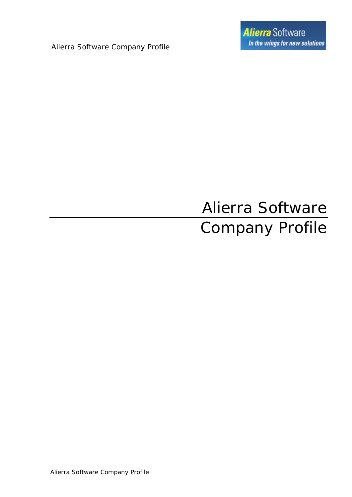Alierra Software Company Profile

# Alierra Software Company Profile

Alierra Software Company Profile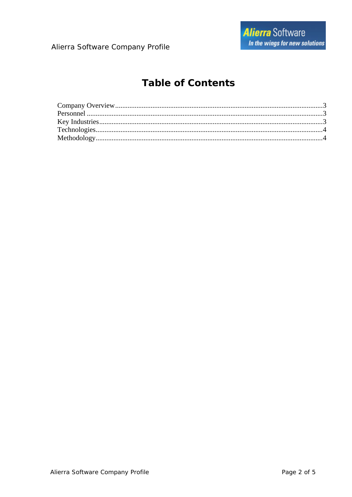### **Table of Contents**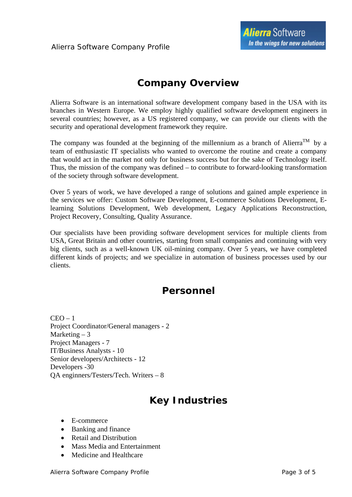### *Company Overview*

<span id="page-2-0"></span>Alierra Software is an international software development company based in the USA with its branches in Western Europe. We employ highly qualified software development engineers in several countries; however, as a US registered company, we can provide our clients with the security and operational development framework they require.

The company was founded at the beginning of the millennium as a branch of Alierra<sup>TM</sup> by a team of enthusiastic IT specialists who wanted to overcome the routine and create a company that would act in the market not only for business success but for the sake of Technology itself. Thus, the mission of the company was defined – to contribute to forward-looking transformation of the society through software development.

Over 5 years of work, we have developed a range of solutions and gained ample experience in the services we offer: Custom Software Development, E-commerce Solutions Development, Elearning Solutions Development, Web development, Legacy Applications Reconstruction, Project Recovery, Consulting, Quality Assurance.

Our specialists have been providing software development services for multiple clients from USA, Great Britain and other countries, starting from small companies and continuing with very big clients, such as a well-known UK oil-mining company. Over 5 years, we have completed different kinds of projects; and we specialize in automation of business processes used by our clients.

### *Personnel*

 $CEO - 1$ Project Coordinator/General managers - 2 Marketing  $-3$ Project Managers - 7 IT/Business Analysts - 10 Senior developers/Architects - 12 Developers -30 QA enginners/Testers/Tech. Writers – 8

## *Key Industries*

- E-commerce
- Banking and finance
- Retail and Distribution
- Mass Media and Entertainment
- Medicine and Healthcare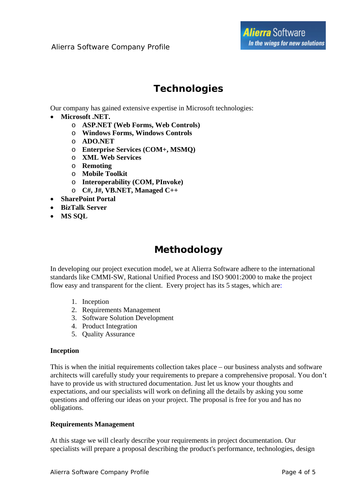### *Technologies*

<span id="page-3-0"></span>Our company has gained extensive expertise in Microsoft technologies:

- **Microsoft .NET.** 
	- o **ASP.NET (Web Forms, Web Controls)**
	- o **Windows Forms, Windows Controls**
	- o **ADO.NET**
	- o **Enterprise Services (COM+, MSMQ)**
	- o **XML Web Services**
	- o **Remoting**
	- o **Mobile Toolkit**
	- o **Interoperability (COM, PInvoke)**
	- o **C#, J#, VB.NET, Managed C++**
- **SharePoint Portal**
- **BizTalk Server**
- **MS SQL**

## *Methodology*

In developing our project execution model, we at Alierra Software adhere to the international standards like CMMI-SW, Rational Unified Process and ISO 9001:2000 to make the project flow easy and transparent for the client. Every project has its 5 stages, which are:

- 1. Inception
- 2. Requirements Management
- 3. Software Solution Development
- 4. Product Integration
- 5. Quality Assurance

#### **Inception**

This is when the initial requirements collection takes place – our business analysts and software architects will carefully study your requirements to prepare a comprehensive proposal. You don't have to provide us with structured documentation. Just let us know your thoughts and expectations, and our specialists will work on defining all the details by asking you some questions and offering our ideas on your project. The proposal is free for you and has no obligations.

#### **Requirements Management**

At this stage we will clearly describe your requirements in project documentation. Our specialists will prepare a proposal describing the product's performance, technologies, design